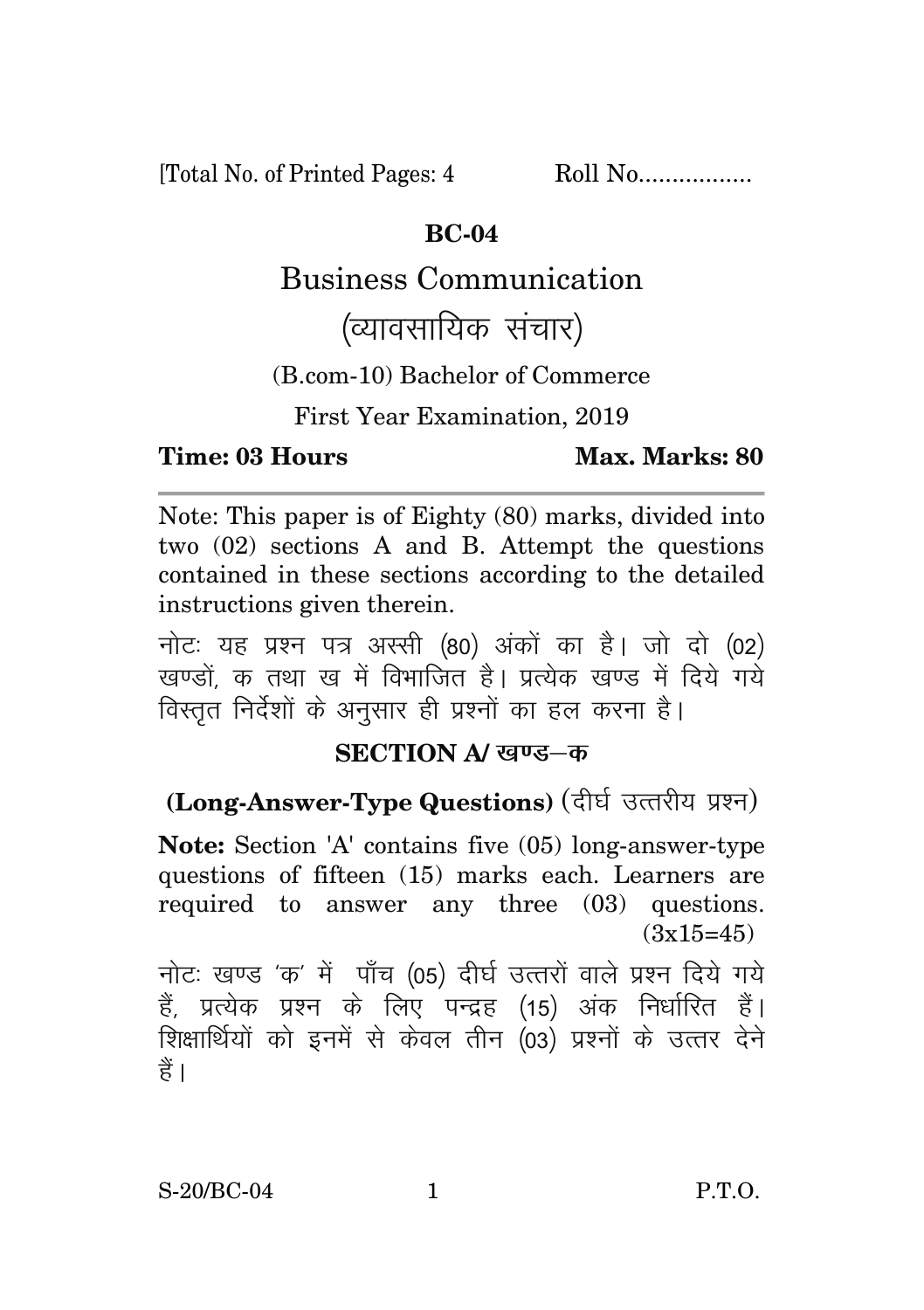[Total No. of Printed Pages: 4 Roll No.................

#### **BC-04**

## Business Communication

# (व्यावसायिक संचार)

(B.com-10) Bachelor of Commerce

First Year Examination, 2019

#### **Time: 03 Hours Max. Marks: 80**

Note: This paper is of Eighty (80) marks, divided into two (02) sections A and B. Attempt the questions contained in these sections according to the detailed instructions given therein.

नोट: यह प्रश्न पत्र अस्सी (80) अंकों का है। जो दो (02) खण्डों क तथा ख में विभाजित है। प्रत्येक खण्ड में दिये गये विस्तृत निर्देशों के अनुसार ही प्रश्नों का हल करना है।

### **SECTION A/ खण्ड—क**

## **(Long-Answer-Type Questions)** (दीर्घ उत्तरीय प्रश्न)

**Note:** Section 'A' contains five (05) long-answer-type questions of fifteen (15) marks each. Learners are required to answer any three (03) questions.  $(3x15=45)$ 

नोट: खण्ड 'क' में पाँच (05) दीर्घ उत्तरों वाले प्रश्न दिये गये हैं, प्रत्येक प्रश्न के लिए पन्द्रह (15) अंक निर्धारित हैं। शिक्षार्थियों को इनमें से केवल तीन (03) प्रश्नों के उत्तर देने हैं ।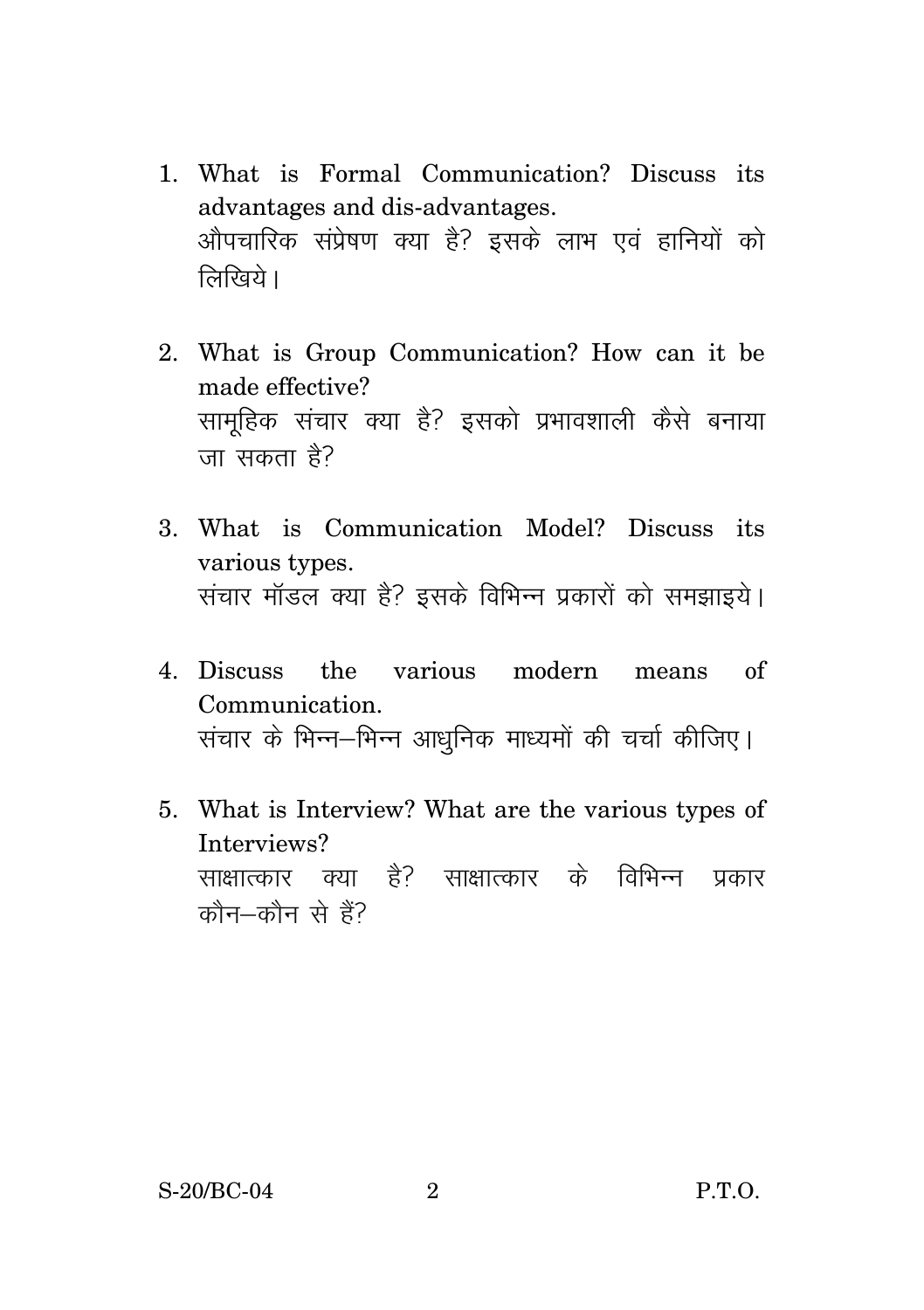- 1. What is Formal Communication? Discuss its advantages and dis-advantages. ओपचारिक संप्रेषण क्या है? इसके लाभ एवं हानियों को  $\widehat{R}$ रिवये ।
- 2. What is Group Communication? How can it be made effective? सामुहिक संचार क्या है? इसको प्रभावशाली कैसे बनाया जा सकता है?
- 3. What is Communication Model? Discuss its various types. संचार मॉडल क्या है? इसके विभिन्न प्रकारों को समझाइये।
- 4. Discuss the various modern means of Communication. संचार के भिन्न–भिन्न आधनिक माध्यमों की चर्चा कीजिए।
- 5. What is Interview? What are the various types of Interviews? साक्षात्कार क्या है? साक्षात्कार के विभिन्न प्रकार  $\vec{a}$ कौन $-\vec{a}$ ने हैं?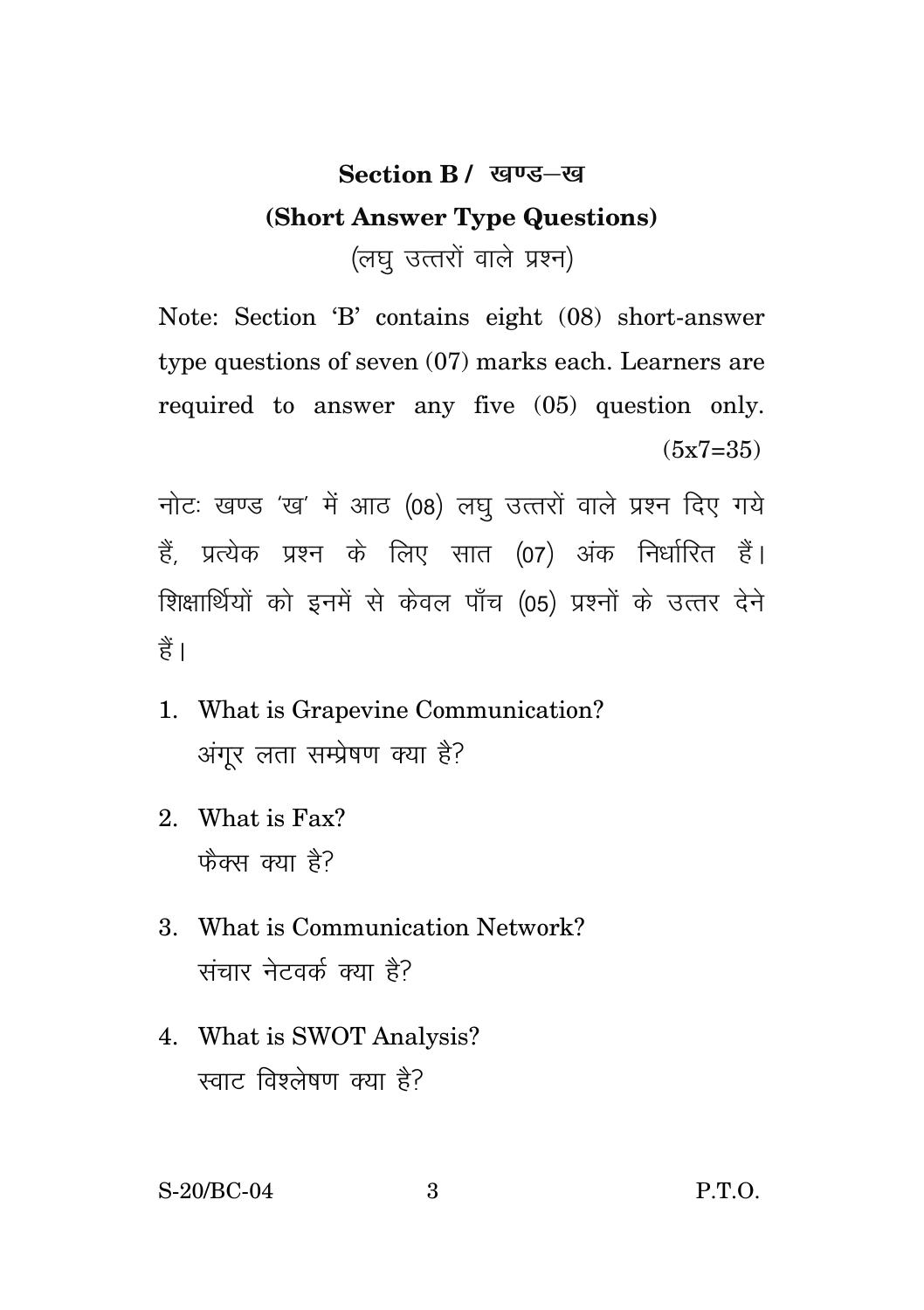## Section **B** / खण्ड-ख **(Short Answer Type Questions)**  (लघ उत्तरों वाले प्रश्न)

Note: Section 'B' contains eight (08) short-answer type questions of seven (07) marks each. Learners are required to answer any five (05) question only.  $(5x7=35)$ 

नोटः खण्ड 'ख' में आठ (08) लघु उत्तरों वाले प्रश्न दिए गये हैं, प्रत्येक प्रश्न के लिए सात (07) अंक निर्धारित हैं। शिक्षार्थियों को इनमें से केवल पाँच (05) प्रश्नों के उत्तर देने हैं।

- 1. What is Grapevine Communication? अंगुर लता सम्प्रेषण क्या है?
- 2. What is Fax? फैक्स क्या है?
- 3. What is Communication Network? संचार नेटवर्क क्या है?
- 4. What is SWOT Analysis? स्वाट विश्लेषण क्या है?